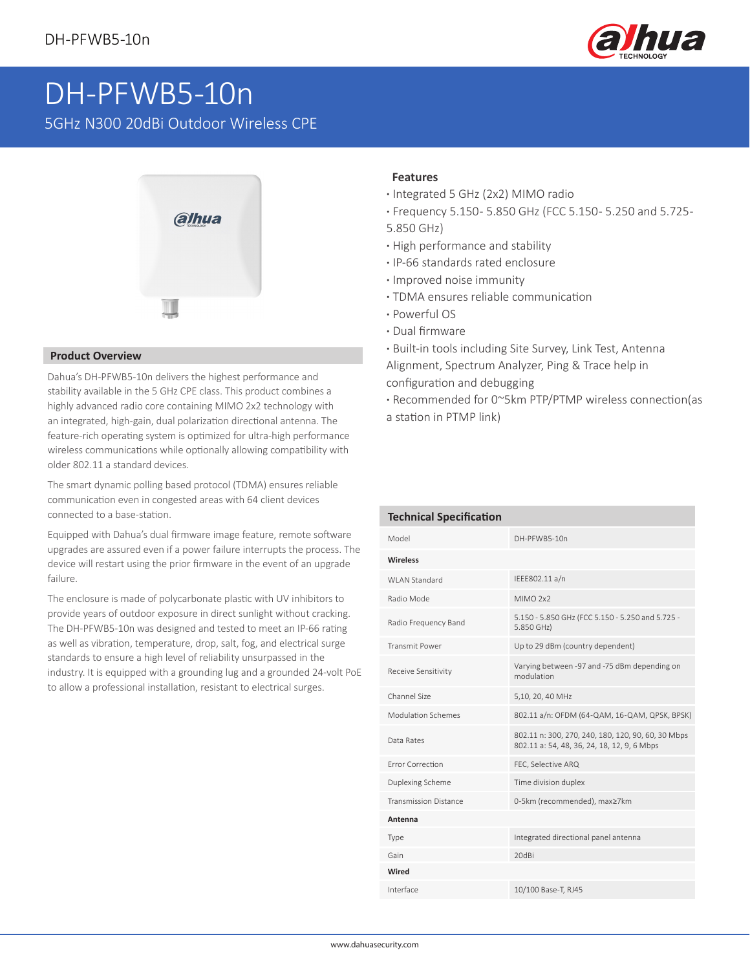

## DH-PFWB5-10n

5GHz N300 20dBi Outdoor Wireless CPE



## **Product Overview**

Dahua's DH-PFWB5-10n delivers the highest performance and stability available in the 5 GHz CPE class. This product combines a highly advanced radio core containing MIMO 2x2 technology with an integrated, high-gain, dual polarization directional antenna. The feature-rich operating system is optimized for ultra-high performance wireless communications while optionally allowing compatibility with older 802.11 a standard devices.

The smart dynamic polling based protocol (TDMA) ensures reliable communication even in congested areas with 64 client devices connected to a base-station.

Equipped with Dahua's dual firmware image feature, remote software upgrades are assured even if a power failure interrupts the process. The device will restart using the prior firmware in the event of an upgrade failure.

The enclosure is made of polycarbonate plastic with UV inhibitors to provide years of outdoor exposure in direct sunlight without cracking. The DH-PFWB5-10n was designed and tested to meet an IP-66 rating as well as vibration, temperature, drop, salt, fog, and electrical surge standards to ensure a high level of reliability unsurpassed in the industry. It is equipped with a grounding lug and a grounded 24-volt PoE to allow a professional installation, resistant to electrical surges.

## **Features**

- **·** Integrated 5 GHz (2x2) MIMO radio
- **·** Frequency 5.150 5.850 GHz (FCC 5.150 5.250 and 5.725 -
- 5.850 GHz)
- **·** High performance and stability
- **·** IP-66 standards rated enclosure
- **·** Improved noise immunity
- **·** TDMA ensures reliable communication
- **·** Powerful OS
- **·** Dual firmware
- **·** Built-in tools including Site Survey, Link Test, Antenna Alignment, Spectrum Analyzer, Ping & Trace help in configuration and debugging
- **·** Recommended for 0~5km PTP/PTMP wireless connection(as a station in PTMP link)

| <b>Technical Specification</b> |                                                                                                   |  |  |  |  |  |  |
|--------------------------------|---------------------------------------------------------------------------------------------------|--|--|--|--|--|--|
| Model                          | DH-PFWB5-10n                                                                                      |  |  |  |  |  |  |
| <b>Wireless</b>                |                                                                                                   |  |  |  |  |  |  |
| WI AN Standard                 | IEEE802.11 a/n                                                                                    |  |  |  |  |  |  |
| Radio Mode                     | MIMO <sub>2x2</sub>                                                                               |  |  |  |  |  |  |
| Radio Frequency Band           | 5.150 - 5.850 GHz (FCC 5.150 - 5.250 and 5.725 -<br>5.850 GHz)                                    |  |  |  |  |  |  |
| <b>Transmit Power</b>          | Up to 29 dBm (country dependent)                                                                  |  |  |  |  |  |  |
| Receive Sensitivity            | Varying between -97 and -75 dBm depending on<br>modulation                                        |  |  |  |  |  |  |
| Channel Size                   | 5,10, 20, 40 MHz                                                                                  |  |  |  |  |  |  |
| Modulation Schemes             | 802.11 a/n: OFDM (64-QAM, 16-QAM, QPSK, BPSK)                                                     |  |  |  |  |  |  |
| Data Rates                     | 802.11 n: 300, 270, 240, 180, 120, 90, 60, 30 Mbps<br>802.11 a: 54, 48, 36, 24, 18, 12, 9, 6 Mbps |  |  |  |  |  |  |
| <b>Frror Correction</b>        | FEC, Selective ARQ                                                                                |  |  |  |  |  |  |
| Duplexing Scheme               | Time division duplex                                                                              |  |  |  |  |  |  |
| <b>Transmission Distance</b>   | 0-5km (recommended), max≥7km                                                                      |  |  |  |  |  |  |
| Antenna                        |                                                                                                   |  |  |  |  |  |  |
| Type                           | Integrated directional panel antenna                                                              |  |  |  |  |  |  |
| Gain                           | 20dBi                                                                                             |  |  |  |  |  |  |
| Wired                          |                                                                                                   |  |  |  |  |  |  |
| Interface                      | 10/100 Base-T, RJ45                                                                               |  |  |  |  |  |  |